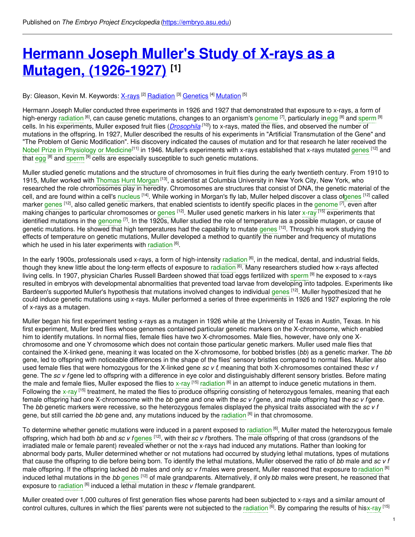# **Hermann Joseph Muller's Study of X-rays as a Mutagen, [\(1926-1927\)](https://embryo.asu.edu/pages/hermann-joseph-mullers-study-x-rays-mutagen-1926-1927) [1]**

### By: Gleason, Kevin M. Keywords: <u>[X-rays](https://embryo.asu.edu/keywords/x-rays) [2] [Radiation](https://embryo.asu.edu/keywords/radiation) [3] [Genetics](https://embryo.asu.edu/keywords/genetics)</u> [4] <u>[Mutation](https://embryo.asu.edu/keywords/mutation)</u> [5]

Hermann Joseph Muller conducted three experiments in 1926 and 1927 that demonstrated that exposure to x-rays, a form of high-energy [radiation](https://embryo.asu.edu/search?text=radiation) <sup>[6]</sup>, can cause genetic mutations, changes to an organism's [genome](https://embryo.asu.edu/search?text=genome) [7], particularly in [egg](https://embryo.asu.edu/search?text=egg) [<sup>8]</sup> and [sperm](https://embryo.asu.edu/search?text=sperm) <sup>[9]</sup> cells. In his experiments, Muller exposed fruit flies (*[Drosophila](http://eol.org/pages/733739/overview) [10]*) to x-rays, mated the flies, and observed the number of mutations in the offspring. In 1927, Muller described the results of his experiments in "Artificial Transmutation of the Gene" and "The Problem of Genic Modification". His discovery indicated the causes of mutation and for that research he later received the Nobel Prize in [Physiology](https://embryo.asu.edu/search?text=Nobel%20Prize%20in%20Physiology%20or%20Medicine) or Medicine<sup>[11]</sup> in 1946. Muller's experiments with x-rays established that x-rays mutated [genes](https://embryo.asu.edu/search?text=genes) <sup>[12]</sup> and that [egg](https://embryo.asu.edu/search?text=egg) <sup>[8]</sup> and [sperm](https://embryo.asu.edu/search?text=sperm) <sup>[9]</sup> cells are especially susceptible to such genetic mutations.

Muller studied genetic mutations and the structure of chromosomes in fruit flies during the early twentieth century. From 1910 to 1915, Muller worked with [Thomas](https://embryo.asu.edu/search?text=Thomas%20Hunt%20Morgan) Hunt Morgan [13], a scientist at Columbia University in New York City, New York, who researched the role chromosomes play in heredity. Chromosomes are structures that consist of DNA, the genetic material of the cell, and are found within a cell's [nucleus](https://embryo.asu.edu/search?text=nucleus) <sup>[14]</sup>. While working in Morgan's fly lab, Muller helped discover a class o[fgenes](https://embryo.asu.edu/search?text=genes) <sup>[12]</sup> called marker [genes](https://embryo.asu.edu/search?text=genes) <sup>[12]</sup>, also called genetic markers, that enabled scientists to identify specific places in the [genome](https://embryo.asu.edu/search?text=genome) <sup>[7]</sup>, even after making changes to particular chromosomes or [genes](https://embryo.asu.edu/search?text=genes) <sup>[12]</sup>. Muller used genetic markers in his later [x-ray](https://embryo.asu.edu/search?text=x-ray) <sup>[15]</sup> experiments that identified mutations in the [genome](https://embryo.asu.edu/search?text=genome) <sup>[7]</sup>. In the 1920s, Muller studied the role of temperature as a possible mutagen, or cause of genetic mutations. He showed that high temperatures had the capability to mutate [genes](https://embryo.asu.edu/search?text=genes) <sup>[12]</sup>. Through his work studying the effects of temperature on genetic mutations, Muller developed a method to quantify the number and frequency of mutations which he used in his later experiments with [radiation](https://embryo.asu.edu/search?text=radiation) [6].

In the early 1900s, professionals used x-rays, a form of high-intensity [radiation](https://embryo.asu.edu/search?text=radiation) <sup>[6]</sup>, in the medical, dental, and industrial fields, though they knew little about the long-term effects of exposure to [radiation](https://embryo.asu.edu/search?text=radiation) <sup>[6]</sup>. Many researchers studied how x-rays affected living cells. In 1907, physician Charles Russell Bardeen showed that toad eggs fertilized with [sperm](https://embryo.asu.edu/search?text=sperm) [9] he exposed to x-rays resulted in embryos with developmental abnormalities that prevented toad larvae from developing into tadpoles. Experiments like Bardeen's supported Muller's hypothesis that mutations involved changes to individual [genes](https://embryo.asu.edu/search?text=genes) <sup>[12]</sup>. Muller hypothesized that he could induce genetic mutations using x-rays. Muller performed a series of three experiments in 1926 and 1927 exploring the role of x-rays as a mutagen.

Muller began his first experiment testing x-rays as a mutagen in 1926 while at the University of Texas in Austin, Texas. In his first experiment, Muller bred flies whose genomes contained particular genetic markers on the X-chromosome, which enabled him to identify mutations. In normal flies, female flies have two X-chromosomes. Male flies, however, have only one Xchromosome and one Y chromosome which does not contain those particular genetic markers. Muller used male flies that contained the X-linked gene, meaning it was located on the X-chromosome, for bobbed bristles (*bb*) as a genetic marker. The *bb* gene, led to offspring with noticeable differences in the shape of the flies' sensory bristles compared to normal flies. Muller also used female flies that were homozygous for the X-linked gene *sc v f*, meaning that both X-chromosomes contained the*sc v f* gene. The *sc v f* gene led to offspring with a difference in eye color and distinguishably different sensory bristles. Before mating the male and female flies, Muller exposed the flies to [x-ray](https://embryo.asu.edu/search?text=x-ray) <sup>[15]</sup> [radiation](https://embryo.asu.edu/search?text=radiation) <sup>[6]</sup> in an attempt to induce genetic mutations in them. Following the [x-ray](https://embryo.asu.edu/search?text=x-ray) <sup>[15]</sup> treatment, he mated the flies to produce offspring consisting of heterozygous females, meaning that each female offspring had one X-chromosome with the *bb* gene and one with the *sc v f* gene, and male offspring had the*sc v f* gene. The *bb* genetic markers were recessive, so the heterozygous females displayed the physical traits associated with the *sc v f* gene, but still carried the *bb* gene and, any mutations induced by the [radiation](https://embryo.asu.edu/search?text=radiation) <sup>[6]</sup> in that chromosome.

To determine whether genetic mutations were induced in a parent exposed to [radiation](https://embryo.asu.edu/search?text=radiation) <sup>[6]</sup>, Muller mated the heterozygous female offspring, which had both *bb* and *sc v* f[genes](https://embryo.asu.edu/search?text=genes) <sup>[12]</sup>, with their *sc v* fbrothers. The male offspring of that cross (grandsons of the irradiated male or female parent) revealed whether or not the x-rays had induced any mutations. Rather than looking for abnormal body parts, Muller determined whether or not mutations had occurred by studying lethal mutations, types of mutations that cause the offspring to die before being born. To identify the lethal mutations, Muller observed the ratio of *bb* male and *sc v f* male offspring. If the offspring lacked *bb* males and only *sc v f* males were present, Muller reasoned that exposure to [radiation](https://embryo.asu.edu/search?text=radiation) [6] induced lethal mutations in the *bb* [genes](https://embryo.asu.edu/search?text=genes) [12] of male grandparents. Alternatively, if only bb males were present, he reasoned that exposure to [radiation](https://embryo.asu.edu/search?text=radiation) <sup>[6]</sup> induced a lethal mutation in the*sc v f* female grandparent.

Muller created over 1,000 cultures of first generation flies whose parents had been subjected to x-rays and a similar amount of control cultures, cultures in which the flies' parents were not subjected to the [radiation](https://embryo.asu.edu/search?text=radiation) <sup>[6]</sup>. By comparing the results of his[x-ray](https://embryo.asu.edu/search?text=x-ray) <sup>[15]</sup>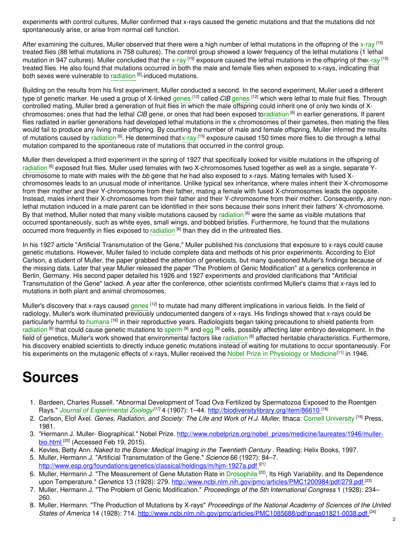experiments with control cultures, Muller confirmed that x-rays caused the genetic mutations and that the mutations did not spontaneously arise, or arise from normal cell function.

After examining the cultures, Muller observed that there were a high number of lethal mutations in the offspring of the [x-ray](https://embryo.asu.edu/search?text=x-ray) <sup>[15]</sup> treated flies (88 lethal mutations in 758 cultures). The control group showed a lower frequency of the lethal mutations (1 lethal mutation in 947 cultures). Muller concluded that the [x-ray](https://embryo.asu.edu/search?text=x-ray) <sup>[15]</sup> exposure caused the lethal mutations in the offspring of th[ex-ray](https://embryo.asu.edu/search?text=x-ray) <sup>[15]</sup> treated flies. He also found that mutations occurred in both the male and female flies when exposed to x-rays, indicating that both sexes were vulnerable to [radiation](https://embryo.asu.edu/search?text=radiation) <sup>[6]</sup>-induced mutations.

Building on the results from his first experiment, Muller conducted a second. In the second experiment, Muller used a different type of genetic marker. He used a group of X-linked [genes](https://embryo.asu.edu/search?text=genes) <sup>[12]</sup> called *CIB* genes <sup>[12]</sup> which were lethal to male fruit flies. Through controlled mating, Muller bred a generation of fruit flies in which the male offspring could inherit one of only two kinds of Xchromosomes: ones that had the lethal *ClB* gene, or ones that had been exposed t[oradiation](https://embryo.asu.edu/search?text=radiation) [6] in earlier generations. If parent flies radiated in earlier generations had developed lethal mutations in the x chromosomes of their gametes, then mating the files would fail to produce any living male offspring. By counting the number of male and female offspring, Muller inferred the results of mutations caused by [radiation](https://embryo.asu.edu/search?text=radiation) <sup>[6]</sup>. He determined that [x-ray](https://embryo.asu.edu/search?text=x-ray) <sup>[15]</sup> exposure caused 150 times more flies to die through a lethal mutation compared to the spontaneous rate of mutations that occurred in the control group.

Muller then developed a third experiment in the spring of 1927 that specifically looked for visible mutations in the offspring of [radiation](https://embryo.asu.edu/search?text=radiation) <sup>[6]</sup> exposed fruit flies. Muller used females with two X-chromosomes fused together as well as a single, separate Ychromosome to mate with males with the *bb* gene that he had also exposed to x-rays. Mating females with fused Xchromosomes leads to an unusual mode of inheritance. Unlike typical sex inheritance, where males inherit their X-chromosome from their mother and their Y-chromosome from their father, mating a female with fused X-chromosomes leads the opposite. Instead, males inherit their X-chromosomes from their father and their Y-chromosome from their mother. Consequently, any nonlethal mutation induced in a male parent can be identified in their sons because their sons inherit their fathers' X-chromosome. By that method, Muller noted that many visible mutations caused by [radiation](https://embryo.asu.edu/search?text=radiation) <sup>[6]</sup> were the same as visible mutations that occurred spontaneously, such as white eyes, small wings, and bobbed bristles. Furthermore, he found that the mutations occurred more frequently in flies exposed to [radiation](https://embryo.asu.edu/search?text=radiation) <sup>[6]</sup> than they did in the untreated flies.

In his 1927 article "Artificial Transmutation of the Gene," Muller published his conclusions that exposure to x-rays could cause genetic mutations. However, Muller failed to include complete data and methods of his prior experiments. According to Elof Carlson, a student of Muller, the paper grabbed the attention of geneticists, but many questioned Muller's findings because of the missing data. Later that year Muller released the paper "The Problem of Genic Modification" at a genetics conference in Berlin, Germany. His second paper detailed his 1926 and 1927 experiments and provided clarifications that "Artificial Transmutation of the Gene" lacked. A year after the conference, other scientists confirmed Muller's claims that x-rays led to mutations in both plant and animal chromosomes.

Muller's discovery that x-rays caused [genes](https://embryo.asu.edu/search?text=genes) <sup>[12]</sup> to mutate had many different implications in various fields. In the field of radiology, Muller's work illuminated previously undocumented dangers of x-rays. His findings showed that x-rays could be particularly harmful to [humans](https://embryo.asu.edu/search?text=humans) <sup>[16]</sup> in their reproductive years. Radiologists began taking precautions to shield patients from [radiation](https://embryo.asu.edu/search?text=radiation) <sup>[6]</sup> that could cause genetic mutations to [sperm](https://embryo.asu.edu/search?text=sperm) <sup>[9]</sup> and [egg](https://embryo.asu.edu/search?text=egg) <sup>[8]</sup> cells, possibly affecting later embryo development. In the field of genetics, Muller's work showed that environmental factors like [radiation](https://embryo.asu.edu/search?text=radiation) <sup>[6]</sup> affected heritable characteristics. Furthermore, his discovery enabled scientists to directly induce genetic mutations instead of waiting for mutations to occur spontaneously. For his experiments on the mutagenic effects of x-rays, Muller received the Nobel Prize in [Physiology](https://embryo.asu.edu/search?text=Nobel%20Prize%20in%20Physiology%20or%20Medicine) or Medicine<sup>[11]</sup> in 1946.

## **Sources**

- 1. Bardeen, Charles Russell. "Abnormal Development of Toad Ova Fertilized by Spermatozoa Exposed to the Roentgen Rays." *Journal of [Experimental](https://embryo.asu.edu/search?text=Journal%20of%20Experimental%20Zoology) Zoology [17]* 4 (1907): 1–44. <http://biodiversitylibrary.org/item/86610> [18]
- 2. Carlson, Elof Axel. *Genes, Radiation, and Society: The Life and Work of H.J. Muller*. Ithaca: Cornell [University](https://embryo.asu.edu/search?text=Cornell%20University) [19] Press, 1981.
- 3. "Hermann J. Muller- Biographical." Nobel Prize. [http://www.nobelprize.org/nobel\\_prizes/medicine/laureates/1946/muller-](http://www.nobelprize.org/nobel_prizes/medicine/laureates/1946/muller-bio.html)<u>bio.html <sup>[20]</sup></u> (Accessed Feb 19, 2015).
- 4. Kevles, Betty Ann. *Naked to the Bone: Medical Imaging in the Twentieth Century* . Reading: Helix Books, 1997.
- 5. Muller, Hermann J. "Artificial Transmutation of the Gene." *Science* 66 (1927): 84–7. <http://www.esp.org/foundations/genetics/classical/holdings/m/hjm-1927a.pdf><sup>[21]</sup>
- 6. Muller, Hermann J. "The Measurement of Gene Mutation Rate in [Drosophila](https://embryo.asu.edu/search?text=Drosophila)<sup>[22]</sup>, Its High Variability, and Its Dependence upon Temperature." *Genetics* 13 (1928): 279. <http://www.ncbi.nlm.nih.gov/pmc/articles/PMC1200984/pdf/279.pdf> [23]
- 7. Muller, Hermann J. "The Problem of Genic Modification." *Proceedings of the 5th International Congress* 1 (1928): 234– 260.
- 8. Muller, Hermann. "The Production of Mutations by X-rays" *Proceedings of the National Academy of Sciences of the United States of America* 14 (1928): 714. <http://www.ncbi.nlm.nih.gov/pmc/articles/PMC1085688/pdf/pnas01821-0038.pdf> [24]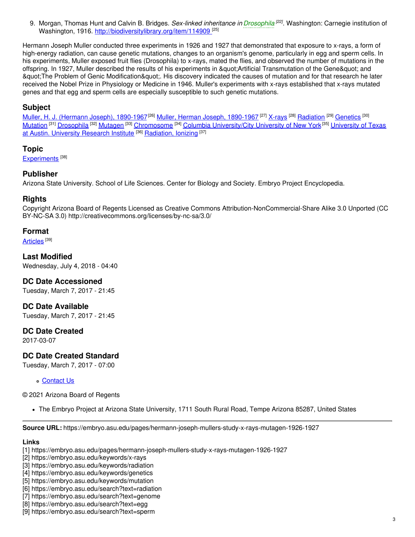9. Morgan, Thomas Hunt and Calvin B. Bridges. *Sex-linked inheritance in [Drosophila](https://embryo.asu.edu/search?text=Drosophila) [22]* . Washington: Carnegie institution of Washington, 1916. <http://biodiversitylibrary.org/item/114909>.<sup>[25]</sup>

Hermann Joseph Muller conducted three experiments in 1926 and 1927 that demonstrated that exposure to x-rays, a form of high-energy radiation, can cause genetic mutations, changes to an organism's genome, particularly in egg and sperm cells. In his experiments, Muller exposed fruit flies (Drosophila) to x-rays, mated the flies, and observed the number of mutations in the offspring. In 1927, Muller described the results of his experiments in " Artificial Transmutation of the Gene" and  $\alpha$ guot;The Problem of Genic Modification & quot;. His discovery indicated the causes of mutation and for that research he later received the Nobel Prize in Physiology or Medicine in 1946. Muller's experiments with x-rays established that x-rays mutated genes and that egg and sperm cells are especially susceptible to such genetic mutations.

#### **Subject**

Muller, H. J. (Hermann Joseph), [1890-1967](https://embryo.asu.edu/library-congress-subject-headings/muller-herman-joseph-1890-1967)<sup>[26]</sup> Muller, Herman Joseph, 1890-1967<sup>[27]</sup> [X-rays](https://embryo.asu.edu/library-congress-subject-headings/x-rays) <sup>[28]</sup> [Radiation](https://embryo.asu.edu/library-congress-subject-headings/radiation) <sup>[29]</sup> [Genetics](https://embryo.asu.edu/library-congress-subject-headings/genetics) <sup>[30]</sup> [Mutation](https://embryo.asu.edu/library-congress-subject-headings/mutation) <sup>[31]</sup> [Drosophila](https://embryo.asu.edu/library-congress-subject-headings/drosophila) <sup>[32]</sup> [Mutagen](https://embryo.asu.edu/library-congress-subject-headings/mutagen) <sup>[33]</sup> [Chromosome](https://embryo.asu.edu/library-congress-subject-headings/chromosome) <sup>[34]</sup> Columbia [University/City](https://embryo.asu.edu/library-congress-subject-headings/university-texas-austin-university-research-institute) University of New York <sup>[35]</sup> University of Texas at Austin. University Research Institute <sup>[36]</sup> [Radiation,](https://embryo.asu.edu/medical-subject-headings/radiation-ionizing) Ionizing <sup>[37]</sup>

#### **Topic**

[Experiments](https://embryo.asu.edu/topics/experiments)<sup>[38]</sup>

#### **Publisher**

Arizona State University. School of Life Sciences. Center for Biology and Society. Embryo Project Encyclopedia.

#### **Rights**

Copyright Arizona Board of Regents Licensed as Creative Commons Attribution-NonCommercial-Share Alike 3.0 Unported (CC BY-NC-SA 3.0) http://creativecommons.org/licenses/by-nc-sa/3.0/

#### **Format**

[Articles](https://embryo.asu.edu/formats/articles) <sup>[39]</sup>

**Last Modified** Wednesday, July 4, 2018 - 04:40

#### **DC Date Accessioned**

Tuesday, March 7, 2017 - 21:45

**DC Date Available** Tuesday, March 7, 2017 - 21:45

#### **DC Date Created**

2017-03-07

#### **DC Date Created Standard**

Tuesday, March 7, 2017 - 07:00

#### **[Contact](https://embryo.asu.edu/contact) Us**

© 2021 Arizona Board of Regents

The Embryo Project at Arizona State University, 1711 South Rural Road, Tempe Arizona 85287, United States

**Source URL:** https://embryo.asu.edu/pages/hermann-joseph-mullers-study-x-rays-mutagen-1926-1927

#### **Links**

[1] https://embryo.asu.edu/pages/hermann-joseph-mullers-study-x-rays-mutagen-1926-1927

[2] https://embryo.asu.edu/keywords/x-rays

- [3] https://embryo.asu.edu/keywords/radiation
- [4] https://embryo.asu.edu/keywords/genetics
- [5] https://embryo.asu.edu/keywords/mutation
- [6] https://embryo.asu.edu/search?text=radiation
- [7] https://embryo.asu.edu/search?text=genome
- [8] https://embryo.asu.edu/search?text=egg
- [9] https://embryo.asu.edu/search?text=sperm